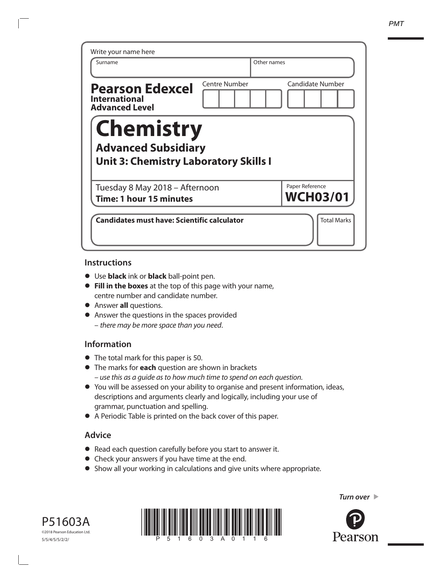*PMT*

| Surname                                                                                        | Other names          |                                    |
|------------------------------------------------------------------------------------------------|----------------------|------------------------------------|
| <b>Pearson Edexcel</b><br><b>International</b><br><b>Advanced Level</b>                        | <b>Centre Number</b> | <b>Candidate Number</b>            |
| <b>Chemistry</b><br><b>Advanced Subsidiary</b><br><b>Unit 3: Chemistry Laboratory Skills I</b> |                      |                                    |
|                                                                                                |                      |                                    |
| Tuesday 8 May 2018 - Afternoon<br><b>Time: 1 hour 15 minutes</b>                               |                      | Paper Reference<br><b>WCH03/01</b> |

#### **Instructions**

- **•** Use **black** ink or **black** ball-point pen.
- **• Fill in the boxes** at the top of this page with your name, centre number and candidate number.
- **•** Answer **all** questions.
- **•** Answer the questions in the spaces provided – *there may be more space than you need*.

### **Information**

- **•** The total mark for this paper is 50.
- **•** The marks for **each** question are shown in brackets *– use this as a guide as to how much time to spend on each question.*
- **•** You will be assessed on your ability to organise and present information, ideas, descriptions and arguments clearly and logically, including your use of grammar, punctuation and spelling.
- **•** A Periodic Table is printed on the back cover of this paper.

### **Advice**

- **•** Read each question carefully before you start to answer it.
- **•** Check your answers if you have time at the end.
- **•** Show all your working in calculations and give units where appropriate.



*Turn over* 

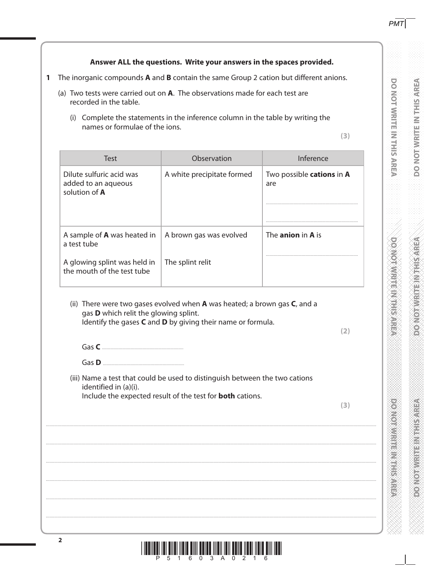**DO NOT WRITE IN THE INTERNATION** 

**DO MOT WRITE IN THIS AREA** 

**DO NOT WRITE IN THE INTERNATIONAL CONTRACTOR** 

**DOMONWRITE IN THIS AREA** 

#### **Answer ALL the questions. Write your answers in the spaces provided.**

- **1** The inorganic compounds **A** and **B** contain the same Group 2 cation but different anions.
	- (a) Two tests were carried out on **A**. The observations made for each test are recorded in the table.
		- (i) Complete the statements in the inference column in the table by writing the names or formulae of the ions.

**(3)**

| <b>Test</b>                                                      | Observation                | Inference                                      |
|------------------------------------------------------------------|----------------------------|------------------------------------------------|
| Dilute sulfuric acid was<br>added to an aqueous<br>solution of A | A white precipitate formed | Two possible <b>cations</b> in <b>A</b><br>are |
| A sample of <b>A</b> was heated in<br>a test tube                | A brown gas was evolved    | The <b>anion</b> in <b>A</b> is                |
| A glowing splint was held in<br>the mouth of the test tube       | The splint relit           |                                                |

 (ii) There were two gases evolved when **A** was heated; a brown gas **C**, and a gas **D** which relit the glowing splint. Identify the gases **C** and **D** by giving their name or formula.

**(2)**

Gas **C** ....................................................................

| Gas <b>D</b> |  |
|--------------|--|
|              |  |

 (iii) Name a test that could be used to distinguish between the two cations identified in (a)(i). Include the expected result of the test for **both** cations.

**(3)**

....................................................................................................................................................................................................................................................................................

**DO NOT WRITE IN THIS AREA**



....................................................................................................................................................................................................................................................................................

....................................................................................................................................................................................................................................................................................

....................................................................................................................................................................................................................................................................................

....................................................................................................................................................................................................................................................................................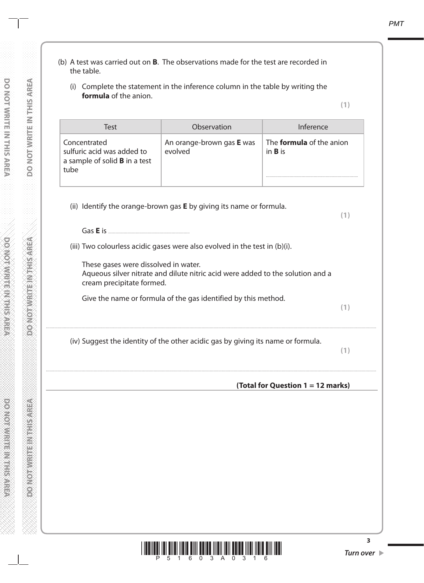- (b) A test was carried out on **B**. The observations made for the test are recorded in the table.
	- (i) Complete the statement in the inference column in the table by writing the **formula** of the anion.

**(1)**

| Test                                                                                       | Observation                          | Inference                                           |
|--------------------------------------------------------------------------------------------|--------------------------------------|-----------------------------------------------------|
| Concentrated<br>sulfuric acid was added to<br>a sample of solid <b>B</b> in a test<br>tube | An orange-brown gas E was<br>evolved | The <b>formula</b> of the anion<br>$in$ <b>B</b> is |

(ii) Identify the orange-brown gas **E** by giving its name or formula.

**(1)**

Gas **E** is ....................................................................

(iii) Two colourless acidic gases were also evolved in the test in (b)(i).

These gases were dissolved in water. Aqueous silver nitrate and dilute nitric acid were added to the solution and a cream precipitate formed.

Give the name or formula of the gas identified by this method.

**(1)**

(iv) Suggest the identity of the other acidic gas by giving its name or formula.

....................................................................................................................................................................................................................................................................................

....................................................................................................................................................................................................................................................................................

**(1)**

### **(Total for Question 1 = 12 marks)**

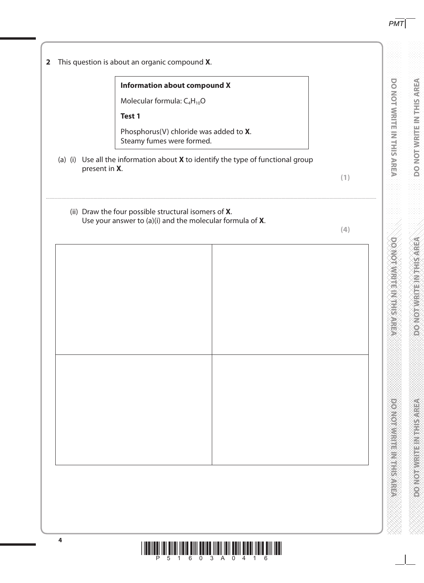**DO NOT WRITE IN THE INTERNATION** 

**DO NOT WRITE IN THIS AREA** 

**DO NOT WRITE IN THE INTERNATIONAL CONTRACTOR** 

DOMOTWRITE IN THIS AREA

**DO NOT WRITE IN THIS AREA**

DOWOTWELF IN HE IS AREA

**2** This question is about an organic compound **X**. **Information about compound X** Molecular formula:  $C_4H_{10}O$ **Test 1** Phosphorus(V) chloride was added to **X**. Steamy fumes were formed. (a) (i) Use all the information about **X** to identify the type of functional group present in **X**. **(1)** .................................................................................................................................................................................................................................................................................... (ii) Draw the four possible structural isomers of **X**. Use your answer to (a)(i) and the molecular formula of **X**. **(4)**

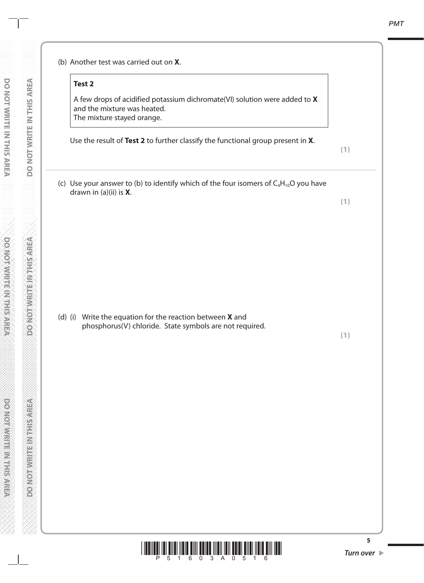(b) Another test was carried out on **X**.

# **Test 2**

A few drops of acidified potassium dichromate(VI) solution were added to **X** and the mixture was heated. The mixture stayed orange.

Use the result of **Test 2** to further classify the functional group present in **X**.

**(1)**

(c) Use your answer to (b) to identify which of the four isomers of  $C_4H_{10}O$  you have drawn in (a)(ii) is **X**.

....................................................................................................................................................................................................................................................................................

**(1)**

(d) (i) Write the equation for the reaction between **X** and phosphorus(V) chloride. State symbols are not required.

**(1)**



**5**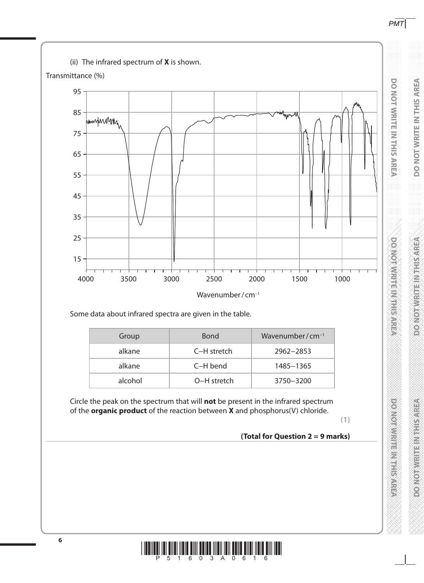*PMT* (ii) The infrared spectrum of **X** is shown. DO NOT WRITE IN THIS AREA **DO NOT WRITE IN THE INTERNATION**  $\overline{\mathsf{w}}$ 

> **DOMOTAWRITE IN THIS AREA DO NOT WRITE IN THE INTERNATIONAL CONTRACTOR**

> > **DOMESTIC MELTINGS DO NOT WRITE IN THIS AREA**

Some data about infrared spectra are given in the table.

| Group   | <b>Bond</b> | Wavenumber/ $cm^{-1}$ |
|---------|-------------|-----------------------|
| alkane  | C-H stretch | 2962-2853             |
| alkane  | $C-H$ bend  | 1485-1365             |
| alcohol | O-H stretch | 3750-3200             |

4000 3500 3000 2500 2000 1500 1000

Wavenumber/ cm–1

 Circle the peak on the spectrum that will **not** be present in the infrared spectrum of the **organic product** of the reaction between **X** and phosphorus(V) chloride.

**(1)**

## **(Total for Question 2 = 9 marks)**



95

Transmittance (%)

85

mynum

75

65

55

45

35

25

15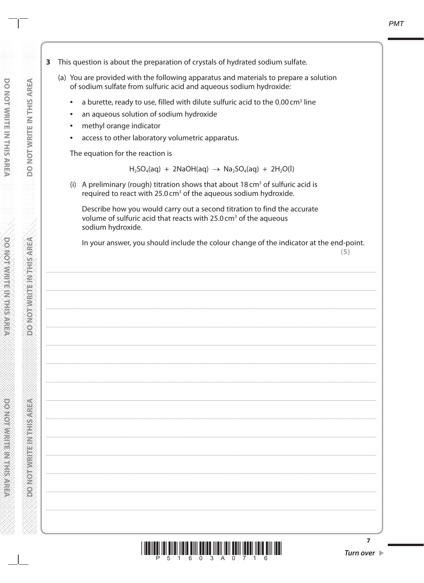- This question is about the preparation of crystals of hydrated sodium sulfate.  $\overline{\mathbf{3}}$ 
	- (a) You are provided with the following apparatus and materials to prepare a solution of sodium sulfate from sulfuric acid and aqueous sodium hydroxide:
		- a burette, ready to use, filled with dilute sulfuric acid to the 0.00 cm<sup>3</sup> line
		- an aqueous solution of sodium hydroxide
		- methyl orange indicator
		- access to other laboratory volumetric apparatus.

The equation for the reaction is

 $H_2SO_4(aq) + 2NaOH(aq) \rightarrow Na_2SO_4(aq) + 2H_2O(l)$ 

(i) A preliminary (rough) titration shows that about  $18 \text{ cm}^3$  of sulfuric acid is required to react with 25.0 cm<sup>3</sup> of the aqueous sodium hydroxide.

Describe how you would carry out a second titration to find the accurate volume of sulfuric acid that reacts with 25.0 cm<sup>3</sup> of the aqueous sodium hydroxide.

In your answer, you should include the colour change of the indicator at the end-point.

 $(5)$ 

**RESIDENT RESIDENCE**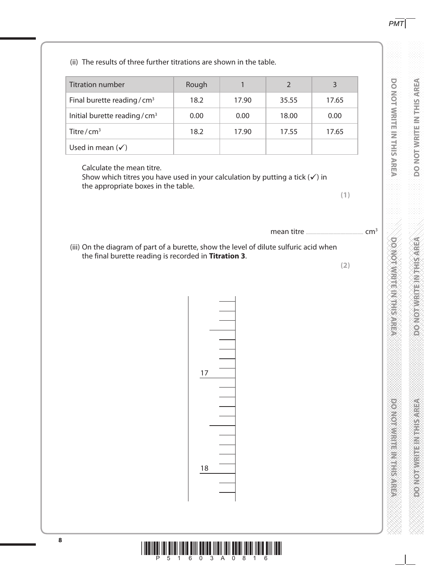*PMT*

**DO NOT WRITE IN THE INTERNATION** 

DO NOT WRITE IN THIS AREA

**DO NOT WRITE IN THE INTERNATIONAL CONTRACTOR** 

**DOMOTAWRITE IN THIS AREA** 

**DO NOT WRITE IN THIS AREA**

**DOOMOODWARD REPORTS AREA** 

(ii) The results of three further titrations are shown in the table.

| <b>Titration number</b>           | Rough |       |       |       |
|-----------------------------------|-------|-------|-------|-------|
| Final burette reading/ $\rm cm^3$ | 18.2  | 17.90 | 35.55 | 17.65 |
| Initial burette reading/ $cm3$    | 0.00  | 0.00  | 18.00 | 0.00  |
| Titre/ $\rm cm^3$                 | 18.2  | 17.90 | 17.55 | 17.65 |
| Used in mean $(\checkmark)$       |       |       |       |       |

Calculate the mean titre.

Show which titres you have used in your calculation by putting a tick  $(\checkmark)$  in the appropriate boxes in the table.

**(1)**



 (iii) On the diagram of part of a burette, show the level of dilute sulfuric acid when the final burette reading is recorded in **Titration 3**.

**(2)**



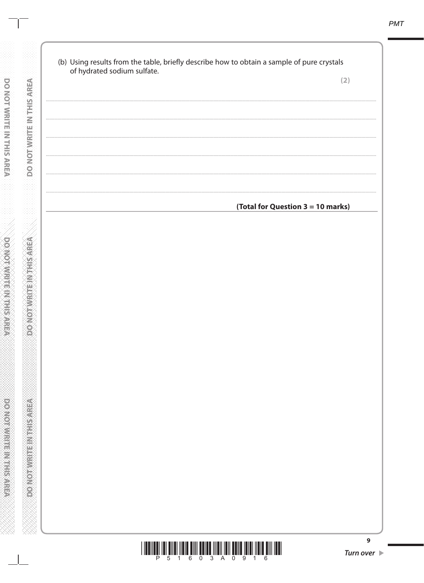| of hydrated sodium sulfate. |                                   | (2) |
|-----------------------------|-----------------------------------|-----|
|                             |                                   |     |
|                             |                                   |     |
|                             |                                   |     |
|                             |                                   |     |
|                             |                                   |     |
|                             |                                   |     |
|                             |                                   |     |
|                             |                                   |     |
|                             | (Total for Question 3 = 10 marks) |     |
|                             |                                   |     |
|                             |                                   |     |
|                             |                                   |     |
|                             |                                   |     |
|                             |                                   |     |
|                             |                                   |     |
|                             |                                   |     |
|                             |                                   |     |
|                             |                                   |     |
|                             |                                   |     |
|                             |                                   |     |
|                             |                                   |     |
|                             |                                   |     |
|                             |                                   |     |
|                             |                                   |     |
|                             |                                   |     |
|                             |                                   |     |
|                             |                                   |     |
|                             |                                   |     |
|                             |                                   |     |
|                             |                                   |     |
|                             |                                   |     |

DO NOT WRITE IN THIS AREA

**DONOTWEITEINTHISAREA** 

**ASSESSMENT AND TO ACTIVITY**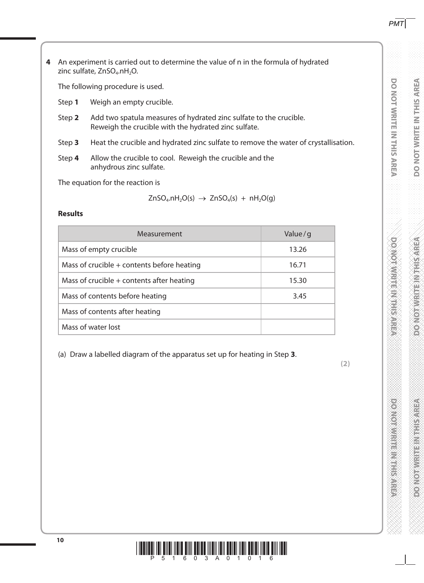*PMT*

| 4 An experiment is carried out to determine the value of n in the formula of hydrated |
|---------------------------------------------------------------------------------------|
| zinc sulfate, $ZnSO_4.nH_2O$ .                                                        |

The following procedure is used.

Step **1** Weigh an empty crucible.

- Step **2** Add two spatula measures of hydrated zinc sulfate to the crucible. Reweigh the crucible with the hydrated zinc sulfate.
- Step **3** Heat the crucible and hydrated zinc sulfate to remove the water of crystallisation.
- Step **4** Allow the crucible to cool. Reweigh the crucible and the anhydrous zinc sulfate.

The equation for the reaction is

 $ZnSO_4.nH_2O(s) \rightarrow ZnSO_4(s) + nH_2O(g)$ 

#### **Results**

| Measurement                                  | Value/g |
|----------------------------------------------|---------|
| Mass of empty crucible                       | 13.26   |
| Mass of crucible $+$ contents before heating | 16.71   |
| Mass of crucible $+$ contents after heating  | 15.30   |
| Mass of contents before heating              | 3.45    |
| Mass of contents after heating               |         |
| Mass of water lost                           |         |

(a) Draw a labelled diagram of the apparatus set up for heating in Step **3**.

**(2)**

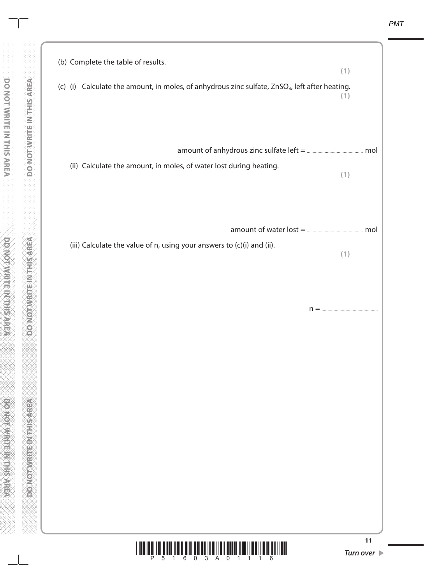

**DO NOT WRITE IN THIS AREA DO NOT WRITE IN THIS AREA DO NOT WRITE IN THIS AREA**

**MONDAY WATERWARE** 

**DOMORATISM THE AREA** 

**DO NOT WRITE IN THIS AREA**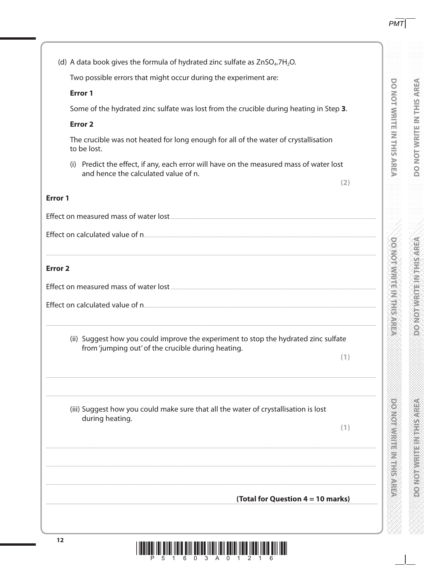DO NOT WRITE IN THIS AREA

**DOMOTAWRITEIN THIS AREA** 

**DOO NOT WITH THE METHOD REPAIR** 

|                | (Total for Question 4 = 10 marks)                                                                                                         |     |
|----------------|-------------------------------------------------------------------------------------------------------------------------------------------|-----|
|                | (iii) Suggest how you could make sure that all the water of crystallisation is lost<br>during heating.                                    | (1) |
|                | (ii) Suggest how you could improve the experiment to stop the hydrated zinc sulfate<br>from 'jumping out' of the crucible during heating. | (1) |
|                |                                                                                                                                           |     |
| <b>Error 2</b> |                                                                                                                                           |     |
|                |                                                                                                                                           |     |
|                |                                                                                                                                           |     |
| Error 1        |                                                                                                                                           |     |
|                | (i) Predict the effect, if any, each error will have on the measured mass of water lost<br>and hence the calculated value of n.           | (2) |
|                | The crucible was not heated for long enough for all of the water of crystallisation<br>to be lost.                                        |     |
|                | <b>Error 2</b>                                                                                                                            |     |
|                | Some of the hydrated zinc sulfate was lost from the crucible during heating in Step 3.                                                    |     |
|                | Error 1                                                                                                                                   |     |
|                | Two possible errors that might occur during the experiment are:                                                                           |     |

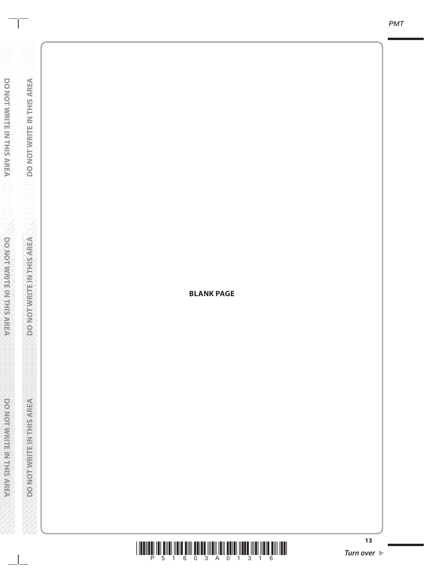

**BLANK PAGE**

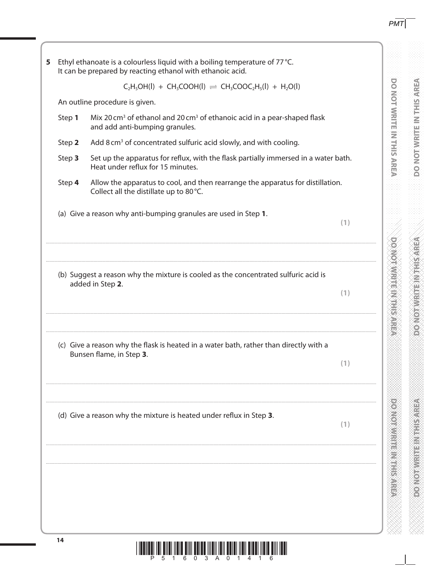|        | Ethyl ethanoate is a colourless liquid with a boiling temperature of 77 °C.<br>It can be prepared by reacting ethanol with ethanoic acid. |     |
|--------|-------------------------------------------------------------------------------------------------------------------------------------------|-----|
|        | $C_2H_5OH(I) + CH_3COOH(I) \rightleftharpoons CH_3COOC_2H_5(I) + H_2O(I)$                                                                 |     |
|        | An outline procedure is given.                                                                                                            |     |
| Step 1 | Mix 20 cm <sup>3</sup> of ethanol and 20 cm <sup>3</sup> of ethanoic acid in a pear-shaped flask<br>and add anti-bumping granules.        |     |
| Step 2 | Add 8 cm <sup>3</sup> of concentrated sulfuric acid slowly, and with cooling.                                                             |     |
| Step 3 | Set up the apparatus for reflux, with the flask partially immersed in a water bath.<br>Heat under reflux for 15 minutes.                  |     |
| Step 4 | Allow the apparatus to cool, and then rearrange the apparatus for distillation.<br>Collect all the distillate up to 80 °C.                |     |
|        | (a) Give a reason why anti-bumping granules are used in Step 1.                                                                           |     |
|        |                                                                                                                                           | (1) |
|        |                                                                                                                                           |     |
|        |                                                                                                                                           |     |
|        | (b) Suggest a reason why the mixture is cooled as the concentrated sulfuric acid is                                                       |     |
|        | added in Step 2.                                                                                                                          | (1) |
|        |                                                                                                                                           |     |
|        |                                                                                                                                           |     |
|        | (c) Give a reason why the flask is heated in a water bath, rather than directly with a                                                    |     |
|        | Bunsen flame, in Step 3.                                                                                                                  | (1) |
|        |                                                                                                                                           |     |
|        |                                                                                                                                           |     |
|        | (d) Give a reason why the mixture is heated under reflux in Step 3.                                                                       |     |
|        |                                                                                                                                           | (1) |
|        |                                                                                                                                           |     |
|        |                                                                                                                                           |     |
|        |                                                                                                                                           |     |
|        |                                                                                                                                           |     |
|        |                                                                                                                                           |     |
|        |                                                                                                                                           |     |
|        |                                                                                                                                           |     |

 $P\overline{MT}$ 

SSSSS

1000 pm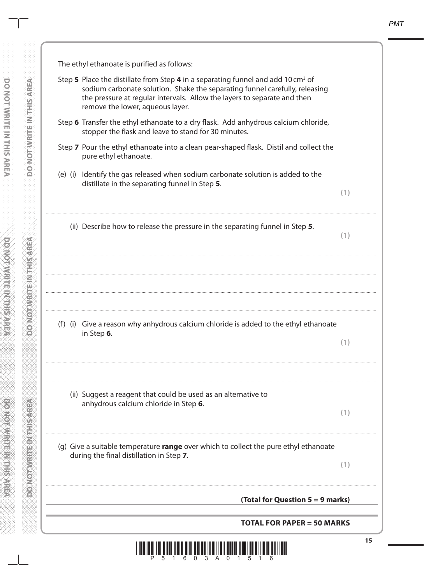

**OO NOT WRITE IN THIS AREA** 

**NOT WRITE IN THIS AREA** 

**MARK AND REPAIRING CONFERENCE**